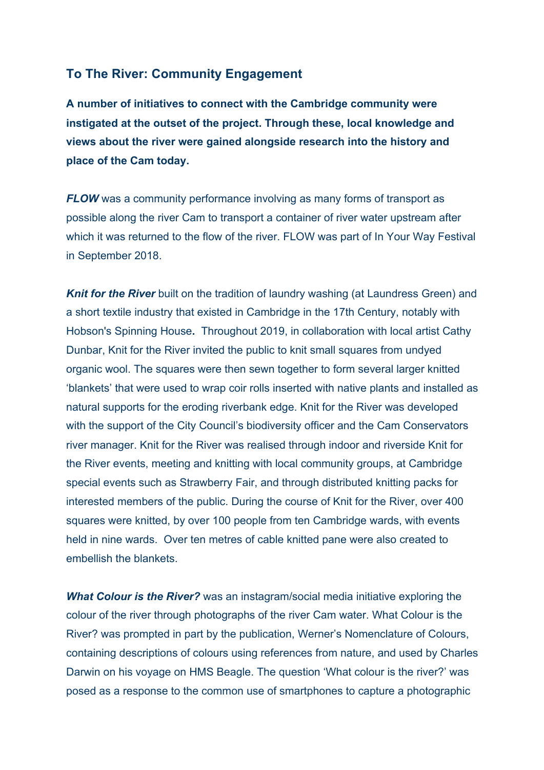## **To The River: Community Engagement**

**A number of initiatives to connect with the Cambridge community were instigated at the outset of the project. Through these, local knowledge and views about the river were gained alongside research into the history and place of the Cam today.**

*FLOW* was a community performance involving as many forms of transport as possible along the river Cam to transport a container of river water upstream after which it was returned to the flow of the river. FLOW was part of In Your Way Festival in September 2018.

**Knit for the River** built on the tradition of laundry washing (at Laundress Green) and a short textile industry that existed in Cambridge in the 17th Century, notably with Hobson's Spinning House**.** Throughout 2019, in collaboration with local artist Cathy Dunbar, Knit for the River invited the public to knit small squares from undyed organic wool. The squares were then sewn together to form several larger knitted 'blankets' that were used to wrap coir rolls inserted with native plants and installed as natural supports for the eroding riverbank edge. Knit for the River was developed with the support of the City Council's biodiversity officer and the Cam Conservators river manager. Knit for the River was realised through indoor and riverside Knit for the River events, meeting and knitting with local community groups, at Cambridge special events such as Strawberry Fair, and through distributed knitting packs for interested members of the public. During the course of Knit for the River, over 400 squares were knitted, by over 100 people from ten Cambridge wards, with events held in nine wards. Over ten metres of cable knitted pane were also created to embellish the blankets.

*What Colour is the River?* was an instagram/social media initiative exploring the colour of the river through photographs of the river Cam water. What Colour is the River? was prompted in part by the publication, Werner's Nomenclature of Colours, containing descriptions of colours using references from nature, and used by Charles Darwin on his voyage on HMS Beagle. The question 'What colour is the river?' was posed as a response to the common use of smartphones to capture a photographic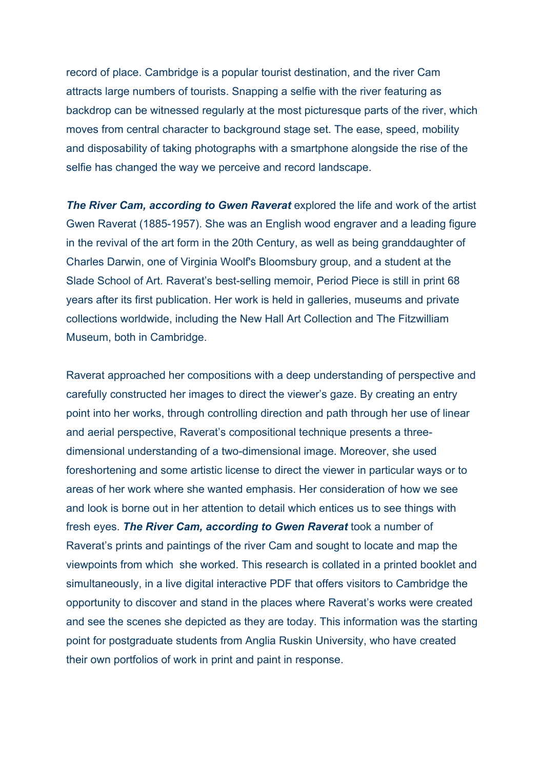record of place. Cambridge is a popular tourist destination, and the river Cam attracts large numbers of tourists. Snapping a selfie with the river featuring as backdrop can be witnessed regularly at the most picturesque parts of the river, which moves from central character to background stage set. The ease, speed, mobility and disposability of taking photographs with a smartphone alongside the rise of the selfie has changed the way we perceive and record landscape.

**The River Cam, according to Gwen Raverat** explored the life and work of the artist Gwen Raverat (1885-1957). She was an English wood engraver and a leading figure in the revival of the art form in the 20th Century, as well as being granddaughter of Charles Darwin, one of Virginia Woolf's Bloomsbury group, and a student at the Slade School of Art. Raverat's best-selling memoir, Period Piece is still in print 68 years after its first publication. Her work is held in galleries, museums and private collections worldwide, including the New Hall Art Collection and The Fitzwilliam Museum, both in Cambridge.

Raverat approached her compositions with a deep understanding of perspective and carefully constructed her images to direct the viewer's gaze. By creating an entry point into her works, through controlling direction and path through her use of linear and aerial perspective, Raverat's compositional technique presents a threedimensional understanding of a two-dimensional image. Moreover, she used foreshortening and some artistic license to direct the viewer in particular ways or to areas of her work where she wanted emphasis. Her consideration of how we see and look is borne out in her attention to detail which entices us to see things with fresh eyes. *The River Cam, according to Gwen Raverat* took a number of Raverat's prints and paintings of the river Cam and sought to locate and map the viewpoints from which she worked. This research is collated in a printed booklet and simultaneously, in a live digital interactive PDF that offers visitors to Cambridge the opportunity to discover and stand in the places where Raverat's works were created and see the scenes she depicted as they are today. This information was the starting point for postgraduate students from Anglia Ruskin University, who have created their own portfolios of work in print and paint in response.